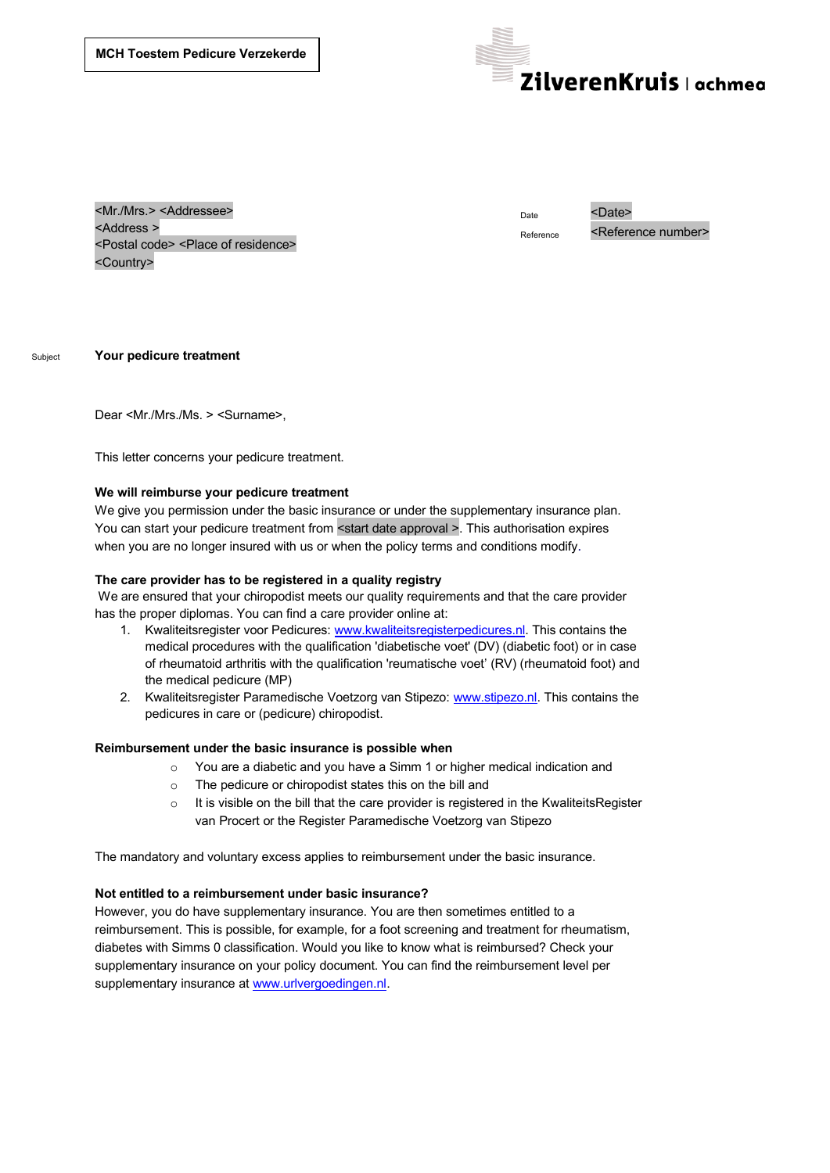

<Mr./Mrs.> <Addressee> <Address > <Postal code> <Place of residence> <Country>

Date <Date>

Reference <Reference number>

Subject **Your pedicure treatment**

Dear <Mr./Mrs./Ms. > <Surname>,

This letter concerns your pedicure treatment.

### **We will reimburse your pedicure treatment**

We give you permission under the basic insurance or under the supplementary insurance plan. You can start your pedicure treatment from <start date approval >. This authorisation expires when you are no longer insured with us or when the policy terms and conditions modify.

# **The care provider has to be registered in a quality registry**

We are ensured that your chiropodist meets our quality requirements and that the care provider has the proper diplomas. You can find a care provider online at:

- 1. Kwaliteitsregister voor Pedicures: www.kwaliteitsregisterpedicures.nl. This contains the medical procedures with the qualification 'diabetische voet' (DV) (diabetic foot) or in case of rheumatoid arthritis with the qualification 'reumatische voetí (RV) (rheumatoid foot) and the medical pedicure (MP)
- 2. Kwaliteitsregister Paramedische Voetzorg van Stipezo: www.stipezo.nl. This contains the pedicures in care or (pedicure) chiropodist.

#### **Reimbursement under the basic insurance is possible when**

- o You are a diabetic and you have a Simm 1 or higher medical indication and
- o The pedicure or chiropodist states this on the bill and
- o It is visible on the bill that the care provider is registered in the KwaliteitsRegister van Procert or the Register Paramedische Voetzorg van Stipezo

The mandatory and voluntary excess applies to reimbursement under the basic insurance.

#### **Not entitled to a reimbursement under basic insurance?**

However, you do have supplementary insurance. You are then sometimes entitled to a reimbursement. This is possible, for example, for a foot screening and treatment for rheumatism, diabetes with Simms 0 classification. Would you like to know what is reimbursed? Check your supplementary insurance on your policy document. You can find the reimbursement level per supplementary insurance at www.urlvergoedingen.nl.